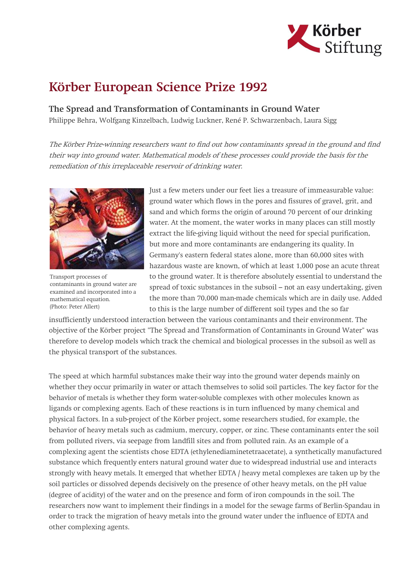

## Körber European Science Prize 1992

The Spread and Transformation of Contaminants in Ground Water

Philippe Behra, Wolfgang Kinzelbach, Ludwig Luckner, René P. Schwarzenbach, Laura Sigg

The Körber Prize-winning researchers want to find out how contaminants spread in the ground and find their way into ground water. Mathematical models of these processes could provide the basis for the remediation of this irreplaceable reservoir of drinking water.



Transport processes of contaminants in ground water are examined and incorporated into a mathematical equation. (Photo: Peter Allert)

Just a few meters under our feet lies a treasure of immeasurable value: ground water which flows in the pores and fissures of gravel, grit, and sand and which forms the origin of around 70 percent of our drinking water. At the moment, the water works in many places can still mostly extract the life-giving liquid without the need for special purification, but more and more contaminants are endangering its quality. In Germany's eastern federal states alone, more than 60,000 sites with hazardous waste are known, of which at least 1,000 pose an acute threat to the ground water. It is therefore absolutely essential to understand the spread of toxic substances in the subsoil – not an easy undertaking, given the more than 70,000 man-made chemicals which are in daily use. Added to this is the large number of different soil types and the so far

insufficiently understood interaction between the various contaminants and their environment. The objective of the Körber project "The Spread and Transformation of Contaminants in Ground Water" was therefore to develop models which track the chemical and biological processes in the subsoil as well as the physical transport of the substances.

The speed at which harmful substances make their way into the ground water depends mainly on whether they occur primarily in water or attach themselves to solid soil particles. The key factor for the behavior of metals is whether they form water-soluble complexes with other molecules known as ligands or complexing agents. Each of these reactions is in turn influenced by many chemical and physical factors. In a sub-project of the Körber project, some researchers studied, for example, the behavior of heavy metals such as cadmium, mercury, copper, or zinc. These contaminants enter the soil from polluted rivers, via seepage from landfill sites and from polluted rain. As an example of a complexing agent the scientists chose EDTA (ethylenediaminetetraacetate), a synthetically manufactured substance which frequently enters natural ground water due to widespread industrial use and interacts strongly with heavy metals. It emerged that whether EDTA / heavy metal complexes are taken up by the soil particles or dissolved depends decisively on the presence of other heavy metals, on the pH value (degree of acidity) of the water and on the presence and form of iron compounds in the soil. The researchers now want to implement their findings in a model for the sewage farms of Berlin-Spandau in order to track the migration of heavy metals into the ground water under the influence of EDTA and other complexing agents.